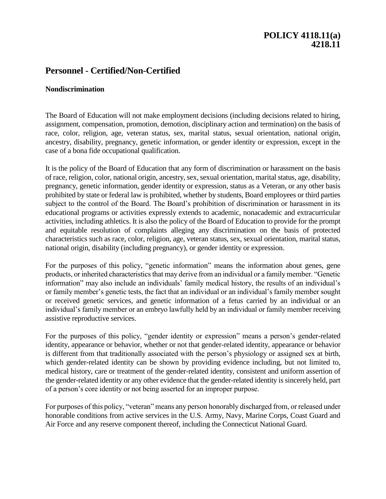## **POLICY 4118.11(a) 4218.11**

# **Personnel - Certified/Non-Certified**

#### **Nondiscrimination**

The Board of Education will not make employment decisions (including decisions related to hiring, assignment, compensation, promotion, demotion, disciplinary action and termination) on the basis of race, color, religion, age, veteran status, sex, marital status, sexual orientation, national origin, ancestry, disability, pregnancy, genetic information, or gender identity or expression, except in the case of a bona fide occupational qualification.

It is the policy of the Board of Education that any form of discrimination or harassment on the basis of race, religion, color, national origin, ancestry, sex, sexual orientation, marital status, age, disability, pregnancy, genetic information, gender identity or expression, status as a Veteran, or any other basis prohibited by state or federal law is prohibited, whether by students, Board employees or third parties subject to the control of the Board. The Board's prohibition of discrimination or harassment in its educational programs or activities expressly extends to academic, nonacademic and extracurricular activities, including athletics. It is also the policy of the Board of Education to provide for the prompt and equitable resolution of complaints alleging any discrimination on the basis of protected characteristics such as race, color, religion, age, veteran status, sex, sexual orientation, marital status, national origin, disability (including pregnancy), or gender identity or expression.

For the purposes of this policy, "genetic information" means the information about genes, gene products, or inherited characteristics that may derive from an individual or a family member. "Genetic information" may also include an individuals' family medical history, the results of an individual's or family member's genetic tests, the fact that an individual or an individual's family member sought or received genetic services, and genetic information of a fetus carried by an individual or an individual's family member or an embryo lawfully held by an individual or family member receiving assistive reproductive services.

For the purposes of this policy, "gender identity or expression" means a person's gender-related identity, appearance or behavior, whether or not that gender-related identity, appearance or behavior is different from that traditionally associated with the person's physiology or assigned sex at birth, which gender-related identity can be shown by providing evidence including, but not limited to, medical history, care or treatment of the gender-related identity, consistent and uniform assertion of the gender-related identity or any other evidence that the gender-related identity is sincerely held, part of a person's core identity or not being asserted for an improper purpose.

For purposes of this policy, "veteran" means any person honorably discharged from, or released under honorable conditions from active services in the U.S. Army, Navy, Marine Corps, Coast Guard and Air Force and any reserve component thereof, including the Connecticut National Guard.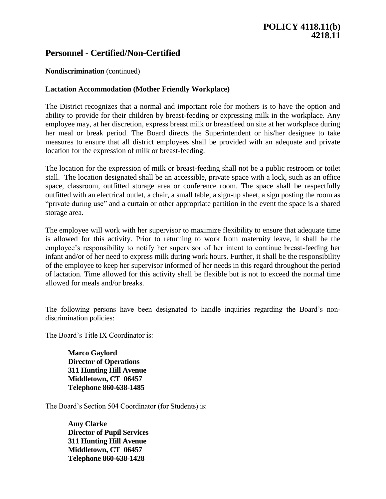# **Personnel - Certified/Non-Certified**

### **Nondiscrimination** (continued)

#### **Lactation Accommodation (Mother Friendly Workplace)**

The District recognizes that a normal and important role for mothers is to have the option and ability to provide for their children by breast-feeding or expressing milk in the workplace. Any employee may, at her discretion, express breast milk or breastfeed on site at her workplace during her meal or break period. The Board directs the Superintendent or his/her designee to take measures to ensure that all district employees shall be provided with an adequate and private location for the expression of milk or breast-feeding.

The location for the expression of milk or breast-feeding shall not be a public restroom or toilet stall. The location designated shall be an accessible, private space with a lock, such as an office space, classroom, outfitted storage area or conference room. The space shall be respectfully outfitted with an electrical outlet, a chair, a small table, a sign-up sheet, a sign posting the room as "private during use" and a curtain or other appropriate partition in the event the space is a shared storage area.

The employee will work with her supervisor to maximize flexibility to ensure that adequate time is allowed for this activity. Prior to returning to work from maternity leave, it shall be the employee's responsibility to notify her supervisor of her intent to continue breast-feeding her infant and/or of her need to express milk during work hours. Further, it shall be the responsibility of the employee to keep her supervisor informed of her needs in this regard throughout the period of lactation. Time allowed for this activity shall be flexible but is not to exceed the normal time allowed for meals and/or breaks.

The following persons have been designated to handle inquiries regarding the Board's nondiscrimination policies:

The Board's Title IX Coordinator is:

**Marco Gaylord Director of Operations 311 Hunting Hill Avenue Middletown, CT 06457 Telephone 860-638-1485**

The Board's Section 504 Coordinator (for Students) is:

**Amy Clarke Director of Pupil Services 311 Hunting Hill Avenue Middletown, CT 06457 Telephone 860-638-1428**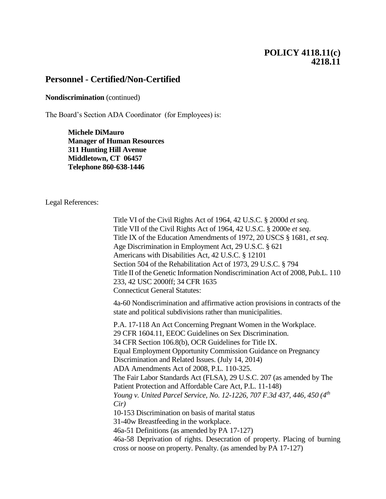## **POLICY 4118.11(c) 4218.11**

## **Personnel - Certified/Non-Certified**

#### **Nondiscrimination** (continued)

The Board's Section ADA Coordinator (for Employees) is:

**Michele DiMauro Manager of Human Resources 311 Hunting Hill Avenue Middletown, CT 06457 Telephone 860-638-1446**

Legal References:

Title VI of the Civil Rights Act of 1964, 42 U.S.C. § 2000d *et seq*. Title VII of the Civil Rights Act of 1964, 42 U.S.C. § 2000e *et seq*. Title IX of the Education Amendments of 1972, 20 USCS § 1681, *et seq*. Age Discrimination in Employment Act, 29 U.S.C. § 621 Americans with Disabilities Act, 42 U.S.C. § 12101 Section 504 of the Rehabilitation Act of 1973, 29 U.S.C. § 794 Title II of the Genetic Information Nondiscrimination Act of 2008, Pub.L. 110 233, 42 USC 2000ff; 34 CFR 1635 Connecticut General Statutes:

4a-60 Nondiscrimination and affirmative action provisions in contracts of the state and political subdivisions rather than municipalities.

P.A. 17-118 An Act Concerning Pregnant Women in the Workplace. 29 CFR 1604.11, EEOC Guidelines on Sex Discrimination. 34 CFR Section 106.8(b), OCR Guidelines for Title IX. Equal Employment Opportunity Commission Guidance on Pregnancy Discrimination and Related Issues. (July 14, 2014) ADA Amendments Act of 2008, P.L. 110-325. The Fair Labor Standards Act (FLSA), 29 U.S.C. 207 (as amended by The Patient Protection and Affordable Care Act, P.L. 11-148) *Young v. United Parcel Service, No. 12-1226, 707 F.3d 437, 446, 450 (4th Cir)* 10-153 Discrimination on basis of marital status 31-40w Breastfeeding in the workplace. 46a-51 Definitions (as amended by PA 17-127) 46a-58 Deprivation of rights. Desecration of property. Placing of burning cross or noose on property. Penalty. (as amended by PA 17-127)